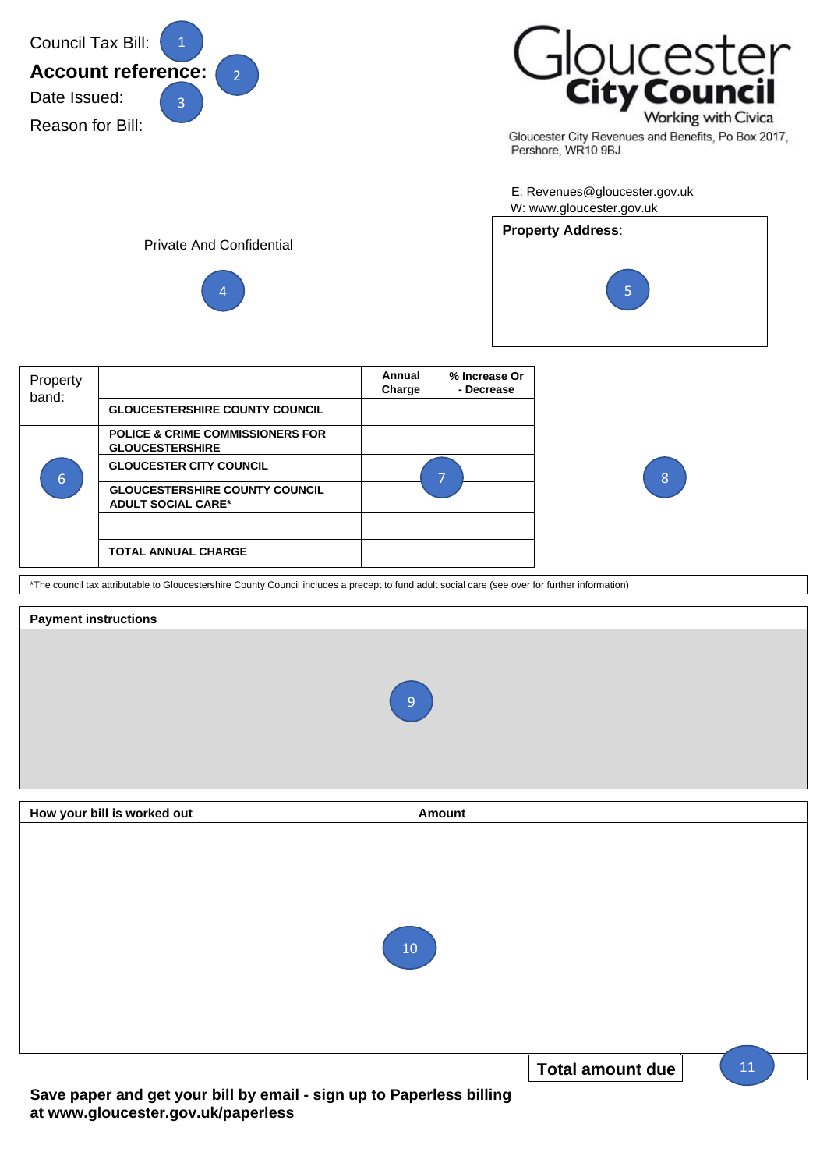